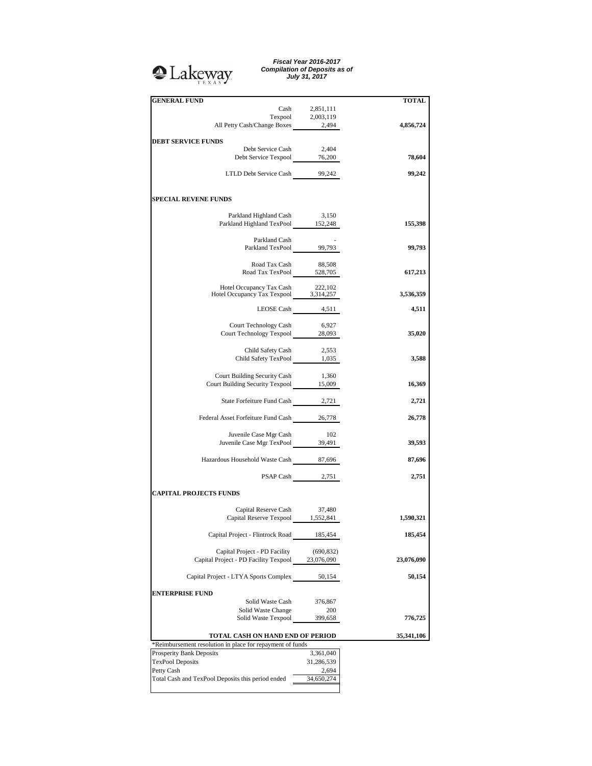## **Q**Lakeway

*Fiscal Year 2016-2017 Compilation of Deposits as of July 31, 2017*

| <b>GENERAL FUND</b>                                                                                                                                                       |                  | <b>TOTAL</b> |
|---------------------------------------------------------------------------------------------------------------------------------------------------------------------------|------------------|--------------|
| Cash                                                                                                                                                                      | 2,851,111        |              |
|                                                                                                                                                                           |                  |              |
| $\begin{tabular}{c} \bf{Tempool} \hspace{1.5cm} 2,003,119 \\ \bf{All Petty Cash/Change \hspace{1.5cm} Boxes \hspace{1.5cm} 2,494} \end{tabular}$                          |                  | 4,856,724    |
|                                                                                                                                                                           |                  |              |
| <b>DEBT SERVICE FUNDS</b>                                                                                                                                                 |                  |              |
| Debt Service Cash                                                                                                                                                         | 2.404            |              |
|                                                                                                                                                                           |                  |              |
| Debt Service Texpool 76,200                                                                                                                                               |                  | 78,604       |
|                                                                                                                                                                           |                  |              |
| LTLD Debt Service Cash 99,242                                                                                                                                             |                  | 99,242       |
|                                                                                                                                                                           |                  |              |
|                                                                                                                                                                           |                  |              |
|                                                                                                                                                                           |                  |              |
| <b>SPECIAL REVENE FUNDS</b>                                                                                                                                               |                  |              |
|                                                                                                                                                                           |                  |              |
| Parkland Highland Cash                                                                                                                                                    | 3,150            |              |
| Parkland Highland TexPool 152,248                                                                                                                                         |                  | 155,398      |
|                                                                                                                                                                           |                  |              |
|                                                                                                                                                                           |                  |              |
|                                                                                                                                                                           |                  |              |
| Parkland Cash<br>Parkland TexPool 99,793                                                                                                                                  |                  | 99,793       |
|                                                                                                                                                                           |                  |              |
|                                                                                                                                                                           |                  |              |
| $\begin{tabular}{l l l l} \multicolumn{1}{l}{{\text{Rad Tax Cash}}} & \multicolumn{1}{l}{88,508} \\ \text{ Road Tax TexPool} & \multicolumn{1}{l}{528,705} \end{tabular}$ |                  | 617,213      |
|                                                                                                                                                                           |                  |              |
|                                                                                                                                                                           |                  |              |
|                                                                                                                                                                           |                  |              |
| Hotel Occupancy Tax Cash 222,102<br>Hotel Occupancy Tax Texpool 3,314,257                                                                                                 |                  | 3,536,359    |
|                                                                                                                                                                           |                  |              |
|                                                                                                                                                                           | LEOSE Cash 4,511 | 4,511        |
|                                                                                                                                                                           |                  |              |
| Court Technology Cash                                                                                                                                                     | 6,927            |              |
| Court Technology Texpool 28,093                                                                                                                                           |                  |              |
|                                                                                                                                                                           |                  | 35,020       |
|                                                                                                                                                                           |                  |              |
| Child Safety Cash 2,553<br>Child Safety TexPool 1,035                                                                                                                     |                  |              |
|                                                                                                                                                                           |                  | 3,588        |
|                                                                                                                                                                           |                  |              |
|                                                                                                                                                                           |                  |              |
| Court Building Security Cash                                                                                                                                              | 1,360            |              |
| Court Building Security Texpool 15,009                                                                                                                                    |                  | 16,369       |
|                                                                                                                                                                           |                  |              |
|                                                                                                                                                                           |                  |              |
| State Forfeiture Fund Cash 2,721                                                                                                                                          |                  | 2,721        |
|                                                                                                                                                                           |                  |              |
| Federal Asset Forfeiture Fund Cash 26,778                                                                                                                                 |                  | 26,778       |
|                                                                                                                                                                           |                  |              |
|                                                                                                                                                                           |                  |              |
| Juvenile Case Mgr Cash                                                                                                                                                    | 102              |              |
| Juvenile Case Mgr TexPool 39,491                                                                                                                                          |                  | 39,593       |
|                                                                                                                                                                           |                  |              |
| Hazardous Household Waste Cash 87,696                                                                                                                                     |                  | 87,696       |
|                                                                                                                                                                           |                  |              |
|                                                                                                                                                                           |                  |              |
|                                                                                                                                                                           | PSAP Cash 2,751  | 2,751        |
|                                                                                                                                                                           |                  |              |
| <b>CAPITAL PROJECTS FUNDS</b>                                                                                                                                             |                  |              |
|                                                                                                                                                                           |                  |              |
|                                                                                                                                                                           |                  |              |
| Capital Reserve Cash                                                                                                                                                      | 37,480           |              |
| Capital Reserve Texpool 1,552,841                                                                                                                                         |                  | 1,590,321    |
|                                                                                                                                                                           |                  |              |
| Capital Project - Flintrock Road                                                                                                                                          | 185,454          | 185,454      |
|                                                                                                                                                                           |                  |              |
|                                                                                                                                                                           |                  |              |
|                                                                                                                                                                           |                  |              |
|                                                                                                                                                                           | (690, 832)       |              |
| Capital Project - PD Facility                                                                                                                                             |                  |              |
| Capital Project - PD Facility Texpool                                                                                                                                     | 23,076,090       | 23,076,090   |
|                                                                                                                                                                           |                  |              |
| Capital Project - LTYA Sports Complex                                                                                                                                     | 50,154           | 50,154       |
|                                                                                                                                                                           |                  |              |
|                                                                                                                                                                           |                  |              |
| <b>ENTERPRISE FUND</b>                                                                                                                                                    |                  |              |
| Solid Waste Cash                                                                                                                                                          | 376,867          |              |
| Solid Waste Change                                                                                                                                                        | 200              |              |
| Solid Waste Texpool                                                                                                                                                       | 399,658          | 776,725      |
|                                                                                                                                                                           |                  |              |
|                                                                                                                                                                           |                  |              |
| TOTAL CASH ON HAND END OF PERIOD                                                                                                                                          |                  | 35,341,106   |
| *Reimbursement resolution in place for repayment of funds                                                                                                                 |                  |              |
| Prosperity Bank Deposits                                                                                                                                                  | 3,361,040        |              |
|                                                                                                                                                                           |                  |              |
| <b>TexPool Deposits</b>                                                                                                                                                   | 31,286,539       |              |
| Petty Cash                                                                                                                                                                | 2,694            |              |
| Total Cash and TexPool Deposits this period ended                                                                                                                         | 34,650,274       |              |